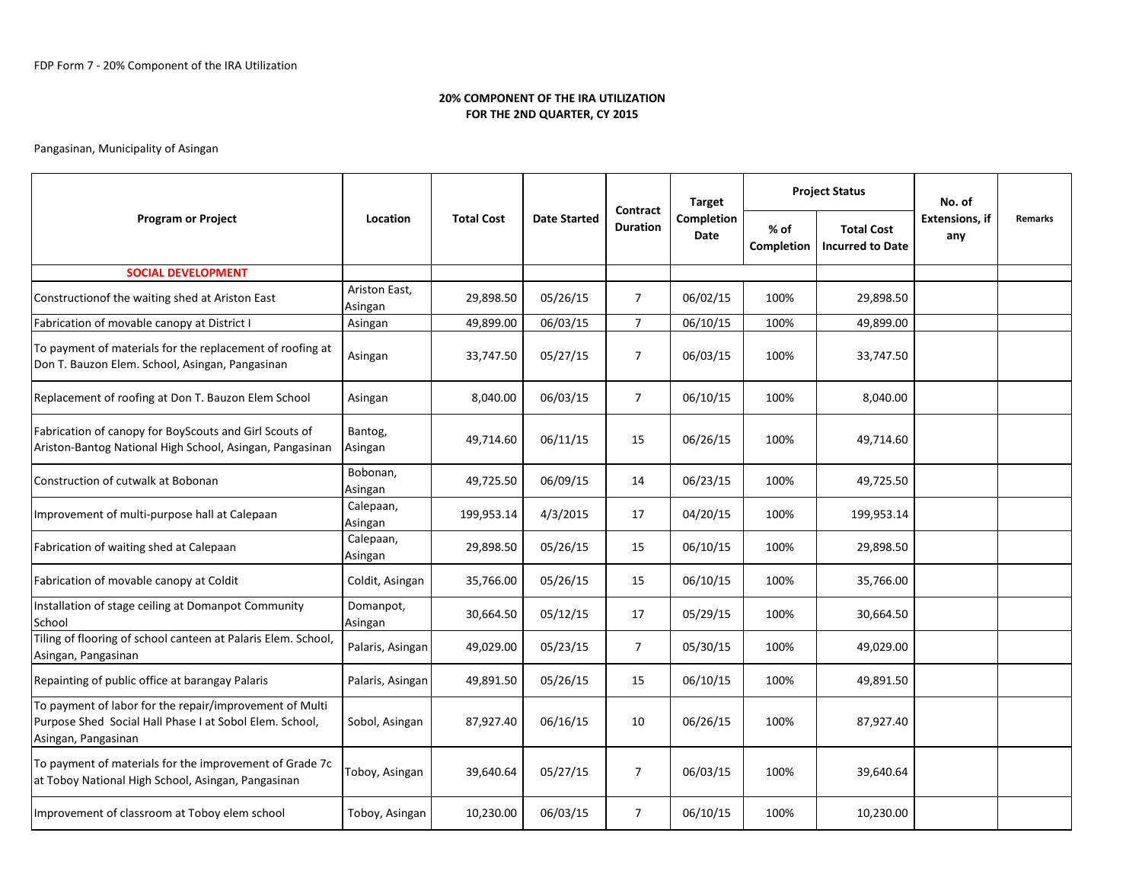## 20% COMPONENT OF THE IRA UTILIZATIONFOR THE 2ND QUARTER, CY 2015

# Pangasinan, Municipality of Asingan

| <b>Program or Project</b>                                                                                                                 | Location                 | <b>Total Cost</b> | <b>Date Started</b> | Contract<br><b>Duration</b> | <b>Target</b><br>Completion<br>Date | <b>Project Status</b>     |                                              | No. of                       |                |
|-------------------------------------------------------------------------------------------------------------------------------------------|--------------------------|-------------------|---------------------|-----------------------------|-------------------------------------|---------------------------|----------------------------------------------|------------------------------|----------------|
|                                                                                                                                           |                          |                   |                     |                             |                                     | % of<br><b>Completion</b> | <b>Total Cost</b><br><b>Incurred to Date</b> | <b>Extensions. if</b><br>any | <b>Remarks</b> |
| <b>SOCIAL DEVELOPMENT</b>                                                                                                                 |                          |                   |                     |                             |                                     |                           |                                              |                              |                |
| Constructionof the waiting shed at Ariston East                                                                                           | Ariston East,<br>Asingan | 29,898.50         | 05/26/15            | $\overline{7}$              | 06/02/15                            | 100%                      | 29,898.50                                    |                              |                |
| Fabrication of movable canopy at District I                                                                                               | Asingan                  | 49,899.00         | 06/03/15            | $\overline{7}$              | 06/10/15                            | 100%                      | 49,899.00                                    |                              |                |
| To payment of materials for the replacement of roofing at<br>Don T. Bauzon Elem. School, Asingan, Pangasinan                              | Asingan                  | 33,747.50         | 05/27/15            | $\overline{7}$              | 06/03/15                            | 100%                      | 33,747.50                                    |                              |                |
| Replacement of roofing at Don T. Bauzon Elem School                                                                                       | Asingan                  | 8,040.00          | 06/03/15            | $\overline{7}$              | 06/10/15                            | 100%                      | 8,040.00                                     |                              |                |
| Fabrication of canopy for BoyScouts and Girl Scouts of<br>Ariston-Bantog National High School, Asingan, Pangasinan                        | Bantog,<br>Asingan       | 49,714.60         | 06/11/15            | 15                          | 06/26/15                            | 100%                      | 49,714.60                                    |                              |                |
| Construction of cutwalk at Bobonan                                                                                                        | Bobonan,<br>Asingan      | 49,725.50         | 06/09/15            | 14                          | 06/23/15                            | 100%                      | 49,725.50                                    |                              |                |
| Improvement of multi-purpose hall at Calepaan                                                                                             | Calepaan,<br>Asingan     | 199,953.14        | 4/3/2015            | 17                          | 04/20/15                            | 100%                      | 199,953.14                                   |                              |                |
| Fabrication of waiting shed at Calepaan                                                                                                   | Calepaan,<br>Asingan     | 29,898.50         | 05/26/15            | 15                          | 06/10/15                            | 100%                      | 29,898.50                                    |                              |                |
| Fabrication of movable canopy at Coldit                                                                                                   | Coldit, Asingan          | 35,766.00         | 05/26/15            | 15                          | 06/10/15                            | 100%                      | 35,766.00                                    |                              |                |
| Installation of stage ceiling at Domanpot Community<br>School                                                                             | Domanpot,<br>Asingan     | 30,664.50         | 05/12/15            | 17                          | 05/29/15                            | 100%                      | 30,664.50                                    |                              |                |
| Tiling of flooring of school canteen at Palaris Elem. School,<br>Asingan, Pangasinan                                                      | Palaris, Asingan         | 49,029.00         | 05/23/15            | $\overline{7}$              | 05/30/15                            | 100%                      | 49,029.00                                    |                              |                |
| Repainting of public office at barangay Palaris                                                                                           | Palaris, Asingan         | 49,891.50         | 05/26/15            | 15                          | 06/10/15                            | 100%                      | 49,891.50                                    |                              |                |
| To payment of labor for the repair/improvement of Multi<br>Purpose Shed Social Hall Phase I at Sobol Elem. School,<br>Asingan, Pangasinan | Sobol, Asingan           | 87,927.40         | 06/16/15            | 10                          | 06/26/15                            | 100%                      | 87,927.40                                    |                              |                |
| To payment of materials for the improvement of Grade 7c<br>at Toboy National High School, Asingan, Pangasinan                             | Toboy, Asingan           | 39,640.64         | 05/27/15            | $\overline{7}$              | 06/03/15                            | 100%                      | 39,640.64                                    |                              |                |
| Improvement of classroom at Toboy elem school                                                                                             | Toboy, Asingan           | 10,230.00         | 06/03/15            | $\overline{7}$              | 06/10/15                            | 100%                      | 10,230.00                                    |                              |                |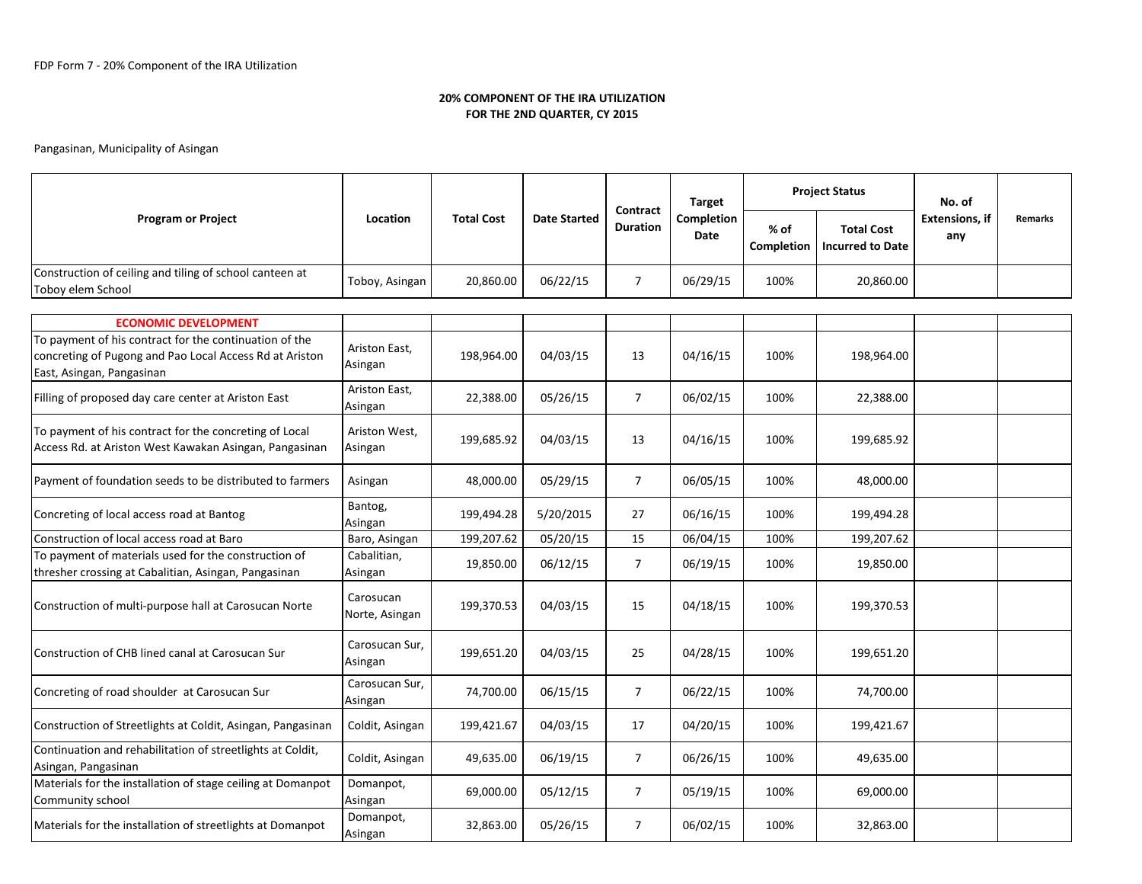Continuation and rehabilitation of streetlights at Coldit,

Community school

Materials for the installation of stage ceiling at Domanpot

#### 20% COMPONENT OF THE IRA UTILIZATIONFOR THE 2ND QUARTER, CY 2015

#### Pangasinan, Municipality of Asingan

|                                                                                                                                                |                             |                   |                     |                             | <b>Target</b>             | <b>Project Status</b> |                                              | No. of                       |                |
|------------------------------------------------------------------------------------------------------------------------------------------------|-----------------------------|-------------------|---------------------|-----------------------------|---------------------------|-----------------------|----------------------------------------------|------------------------------|----------------|
| <b>Program or Project</b>                                                                                                                      | Location                    | <b>Total Cost</b> | <b>Date Started</b> | Contract<br><b>Duration</b> | Completion<br><b>Date</b> | $%$ of<br>Completion  | <b>Total Cost</b><br><b>Incurred to Date</b> | <b>Extensions, if</b><br>any | <b>Remarks</b> |
| Construction of ceiling and tiling of school canteen at<br>Toboy elem School                                                                   | Toboy, Asingan              | 20,860.00         | 06/22/15            | $\overline{7}$              | 06/29/15                  | 100%                  | 20,860.00                                    |                              |                |
|                                                                                                                                                |                             |                   |                     |                             |                           |                       |                                              |                              |                |
| <b>ECONOMIC DEVELOPMENT</b>                                                                                                                    |                             |                   |                     |                             |                           |                       |                                              |                              |                |
| To payment of his contract for the continuation of the<br>concreting of Pugong and Pao Local Access Rd at Ariston<br>East, Asingan, Pangasinan | Ariston East,<br>Asingan    | 198,964.00        | 04/03/15            | 13                          | 04/16/15                  | 100%                  | 198,964.00                                   |                              |                |
| Filling of proposed day care center at Ariston East                                                                                            | Ariston East,<br>Asingan    | 22,388.00         | 05/26/15            | $\overline{7}$              | 06/02/15                  | 100%                  | 22,388.00                                    |                              |                |
| To payment of his contract for the concreting of Local<br>Access Rd. at Ariston West Kawakan Asingan, Pangasinan                               | Ariston West,<br>Asingan    | 199,685.92        | 04/03/15            | 13                          | 04/16/15                  | 100%                  | 199,685.92                                   |                              |                |
| Payment of foundation seeds to be distributed to farmers                                                                                       | Asingan                     | 48,000.00         | 05/29/15            | $\overline{7}$              | 06/05/15                  | 100%                  | 48,000.00                                    |                              |                |
| Concreting of local access road at Bantog                                                                                                      | Bantog,<br>Asingan          | 199,494.28        | 5/20/2015           | 27                          | 06/16/15                  | 100%                  | 199,494.28                                   |                              |                |
| Construction of local access road at Baro                                                                                                      | Baro, Asingan               | 199,207.62        | 05/20/15            | 15                          | 06/04/15                  | 100%                  | 199,207.62                                   |                              |                |
| To payment of materials used for the construction of<br>thresher crossing at Cabalitian, Asingan, Pangasinan                                   | Cabalitian,<br>Asingan      | 19,850.00         | 06/12/15            | $\overline{7}$              | 06/19/15                  | 100%                  | 19,850.00                                    |                              |                |
| Construction of multi-purpose hall at Carosucan Norte                                                                                          | Carosucan<br>Norte, Asingan | 199,370.53        | 04/03/15            | 15                          | 04/18/15                  | 100%                  | 199,370.53                                   |                              |                |
| Construction of CHB lined canal at Carosucan Sur                                                                                               | Carosucan Sur,<br>Asingan   | 199,651.20        | 04/03/15            | 25                          | 04/28/15                  | 100%                  | 199,651.20                                   |                              |                |
| Concreting of road shoulder at Carosucan Sur                                                                                                   | Carosucan Sur,<br>Asingan   | 74,700.00         | 06/15/15            | 7                           | 06/22/15                  | 100%                  | 74,700.00                                    |                              |                |
| Construction of Streetlights at Coldit, Asingan, Pangasinan                                                                                    | Coldit, Asingan             | 199,421.67        | 04/03/15            | 17                          | 04/20/15                  | 100%                  | 199,421.67                                   |                              |                |

Asingan 199,000.00 05/12/15 7 05/19/15 100% 69,000.00

Asingan, Pangasinan Coldit, Asingan 49,635.00 06/19/15 <sup>7</sup> 06/26/15 100% 49,635.00

Materials for the installation of streetlights at Domanpot Domanpot, Asingan 32,863.00 05/26/15 <sup>7</sup> 06/02/15 100% 32,863.00

Domanpot,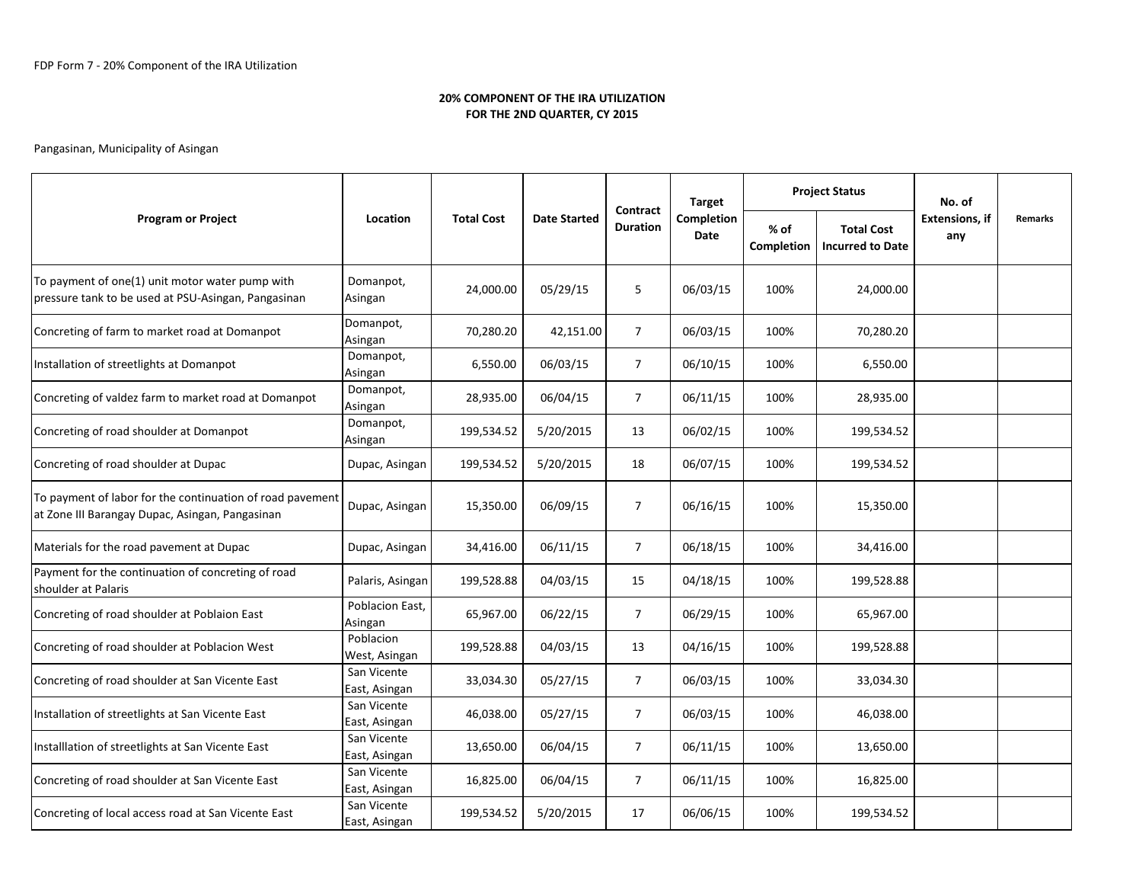# 20% COMPONENT OF THE IRA UTILIZATIONFOR THE 2ND QUARTER, CY 2015

# Pangasinan, Municipality of Asingan

|                                                                                                              |                              |                   |                     |                             | <b>Target</b>      | <b>Project Status</b> |                                              | No. of                       |         |
|--------------------------------------------------------------------------------------------------------------|------------------------------|-------------------|---------------------|-----------------------------|--------------------|-----------------------|----------------------------------------------|------------------------------|---------|
| <b>Program or Project</b>                                                                                    | Location                     | <b>Total Cost</b> | <b>Date Started</b> | Contract<br><b>Duration</b> | Completion<br>Date | % of<br>Completion    | <b>Total Cost</b><br><b>Incurred to Date</b> | <b>Extensions, if</b><br>any | Remarks |
| To payment of one(1) unit motor water pump with<br>pressure tank to be used at PSU-Asingan, Pangasinan       | Domanpot,<br>Asingan         | 24,000.00         | 05/29/15            | 5                           | 06/03/15           | 100%                  | 24,000.00                                    |                              |         |
| Concreting of farm to market road at Domanpot                                                                | Domanpot,<br>Asingan         | 70,280.20         | 42,151.00           | $\overline{7}$              | 06/03/15           | 100%                  | 70,280.20                                    |                              |         |
| Installation of streetlights at Domanpot                                                                     | Domanpot,<br>Asingan         | 6,550.00          | 06/03/15            | $\overline{7}$              | 06/10/15           | 100%                  | 6,550.00                                     |                              |         |
| Concreting of valdez farm to market road at Domanpot                                                         | Domanpot,<br>Asingan         | 28,935.00         | 06/04/15            | $\overline{7}$              | 06/11/15           | 100%                  | 28,935.00                                    |                              |         |
| Concreting of road shoulder at Domanpot                                                                      | Domanpot,<br>Asingan         | 199,534.52        | 5/20/2015           | 13                          | 06/02/15           | 100%                  | 199,534.52                                   |                              |         |
| Concreting of road shoulder at Dupac                                                                         | Dupac, Asingan               | 199,534.52        | 5/20/2015           | 18                          | 06/07/15           | 100%                  | 199,534.52                                   |                              |         |
| To payment of labor for the continuation of road pavement<br>at Zone III Barangay Dupac, Asingan, Pangasinan | Dupac, Asingan               | 15,350.00         | 06/09/15            | $\overline{7}$              | 06/16/15           | 100%                  | 15,350.00                                    |                              |         |
| Materials for the road pavement at Dupac                                                                     | Dupac, Asingan               | 34,416.00         | 06/11/15            | $\overline{7}$              | 06/18/15           | 100%                  | 34,416.00                                    |                              |         |
| Payment for the continuation of concreting of road<br>shoulder at Palaris                                    | Palaris, Asingan             | 199,528.88        | 04/03/15            | 15                          | 04/18/15           | 100%                  | 199,528.88                                   |                              |         |
| Concreting of road shoulder at Poblaion East                                                                 | Poblacion East,<br>Asingan   | 65,967.00         | 06/22/15            | $\overline{7}$              | 06/29/15           | 100%                  | 65,967.00                                    |                              |         |
| Concreting of road shoulder at Poblacion West                                                                | Poblacion<br>West, Asingan   | 199,528.88        | 04/03/15            | 13                          | 04/16/15           | 100%                  | 199,528.88                                   |                              |         |
| Concreting of road shoulder at San Vicente East                                                              | San Vicente<br>East, Asingan | 33,034.30         | 05/27/15            | $\overline{7}$              | 06/03/15           | 100%                  | 33,034.30                                    |                              |         |
| Installation of streetlights at San Vicente East                                                             | San Vicente<br>East, Asingan | 46,038.00         | 05/27/15            | $\overline{7}$              | 06/03/15           | 100%                  | 46,038.00                                    |                              |         |
| Installlation of streetlights at San Vicente East                                                            | San Vicente<br>East, Asingan | 13,650.00         | 06/04/15            | $\overline{7}$              | 06/11/15           | 100%                  | 13,650.00                                    |                              |         |
| Concreting of road shoulder at San Vicente East                                                              | San Vicente<br>East, Asingan | 16,825.00         | 06/04/15            | $\overline{7}$              | 06/11/15           | 100%                  | 16,825.00                                    |                              |         |
| Concreting of local access road at San Vicente East                                                          | San Vicente<br>East, Asingan | 199,534.52        | 5/20/2015           | 17                          | 06/06/15           | 100%                  | 199,534.52                                   |                              |         |